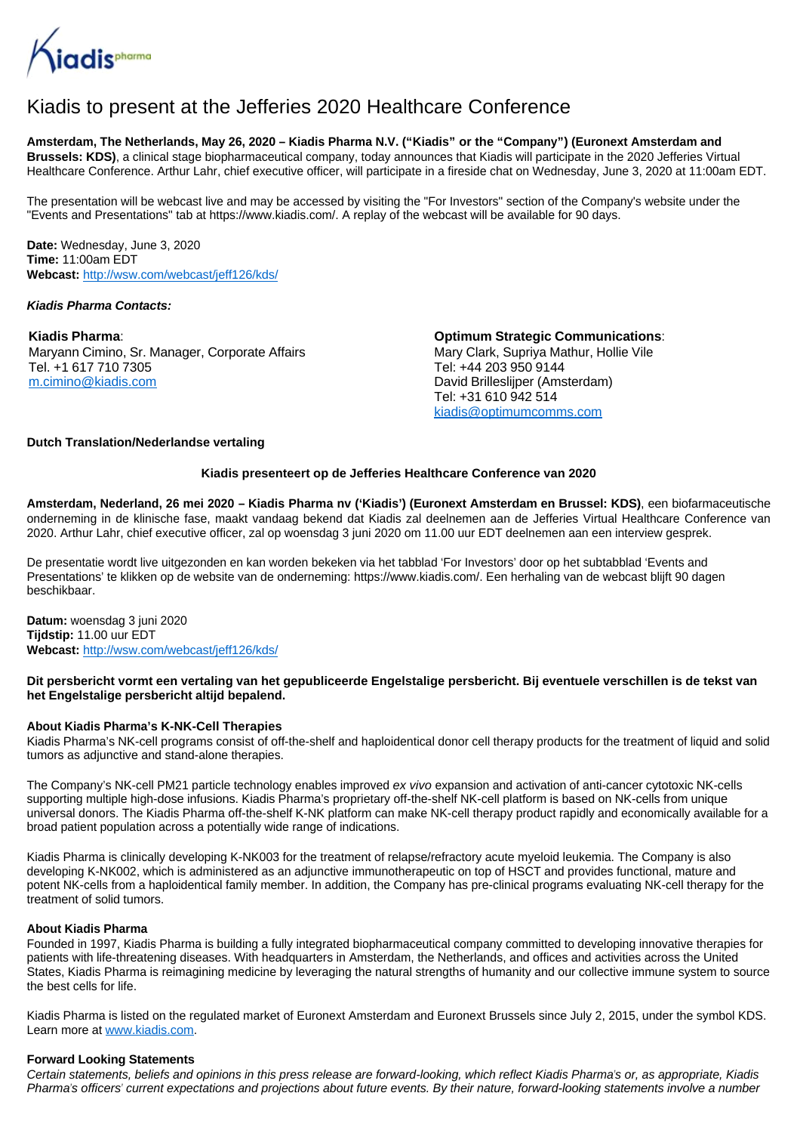

# Kiadis to present at the Jefferies 2020 Healthcare Conference

**Amsterdam, The Netherlands, May 26, 2020 – Kiadis Pharma N.V. ("Kiadis" or the "Company") (Euronext Amsterdam and Brussels: KDS)**, a clinical stage biopharmaceutical company, today announces that Kiadis will participate in the 2020 Jefferies Virtual Healthcare Conference. Arthur Lahr, chief executive officer, will participate in a fireside chat on Wednesday, June 3, 2020 at 11:00am EDT.

The presentation will be webcast live and may be accessed by visiting the "For Investors" section of the Company's website under the "Events and Presentations" tab at https://www.kiadis.com/. A replay of the webcast will be available for 90 days.

**Date:** Wednesday, June 3, 2020 **Time:** 11:00am EDT **Webcast:** <http://wsw.com/webcast/jeff126/kds/>

### **Kiadis Pharma Contacts:**

**Kiadis Pharma**: Maryann Cimino, Sr. Manager, Corporate Affairs Tel. +1 617 710 7305 [m.cimino@kiadis.com](mailto:m.cimino@kiadis.com)

**Optimum Strategic Communications**: Mary Clark, Supriya Mathur, Hollie Vile Tel: +44 203 950 9144 David Brilleslijper (Amsterdam) Tel: +31 610 942 514 [kiadis@optimumcomms.com](mailto:kiadis@optimumcomms.com)

### **Dutch Translation/Nederlandse vertaling**

### **Kiadis presenteert op de Jefferies Healthcare Conference van 2020**

**Amsterdam, Nederland, 26 mei 2020 – Kiadis Pharma nv ('Kiadis') (Euronext Amsterdam en Brussel: KDS)**, een biofarmaceutische onderneming in de klinische fase, maakt vandaag bekend dat Kiadis zal deelnemen aan de Jefferies Virtual Healthcare Conference van 2020. Arthur Lahr, chief executive officer, zal op woensdag 3 juni 2020 om 11.00 uur EDT deelnemen aan een interview gesprek.

De presentatie wordt live uitgezonden en kan worden bekeken via het tabblad 'For Investors' door op het subtabblad 'Events and Presentations' te klikken op de website van de onderneming: https://www.kiadis.com/. Een herhaling van de webcast blijft 90 dagen beschikbaar.

**Datum:** woensdag 3 juni 2020 **Tijdstip:** 11.00 uur EDT **Webcast:** <http://wsw.com/webcast/jeff126/kds/>

## **Dit persbericht vormt een vertaling van het gepubliceerde Engelstalige persbericht. Bij eventuele verschillen is de tekst van het Engelstalige persbericht altijd bepalend.**

## **About Kiadis Pharma's K-NK-Cell Therapies**

Kiadis Pharma's NK-cell programs consist of off-the-shelf and haploidentical donor cell therapy products for the treatment of liquid and solid tumors as adjunctive and stand-alone therapies.

The Company's NK-cell PM21 particle technology enables improved ex vivo expansion and activation of anti-cancer cytotoxic NK-cells supporting multiple high-dose infusions. Kiadis Pharma's proprietary off-the-shelf NK-cell platform is based on NK-cells from unique universal donors. The Kiadis Pharma off-the-shelf K-NK platform can make NK-cell therapy product rapidly and economically available for a broad patient population across a potentially wide range of indications.

Kiadis Pharma is clinically developing K-NK003 for the treatment of relapse/refractory acute myeloid leukemia. The Company is also developing K-NK002, which is administered as an adjunctive immunotherapeutic on top of HSCT and provides functional, mature and potent NK-cells from a haploidentical family member. In addition, the Company has pre-clinical programs evaluating NK-cell therapy for the treatment of solid tumors.

## **About Kiadis Pharma**

Founded in 1997, Kiadis Pharma is building a fully integrated biopharmaceutical company committed to developing innovative therapies for patients with life-threatening diseases. With headquarters in Amsterdam, the Netherlands, and offices and activities across the United States, Kiadis Pharma is reimagining medicine by leveraging the natural strengths of humanity and our collective immune system to source the best cells for life.

Kiadis Pharma is listed on the regulated market of Euronext Amsterdam and Euronext Brussels since July 2, 2015, under the symbol KDS. Learn more at [www.kiadis.com](http://www.kiadis.com/).

#### **Forward Looking Statements**

Certain statements, beliefs and opinions in this press release are forward-looking, which reflect Kiadis Pharma's or, as appropriate, Kiadis Pharma's officers' current expectations and projections about future events. By their nature, forward-looking statements involve a number